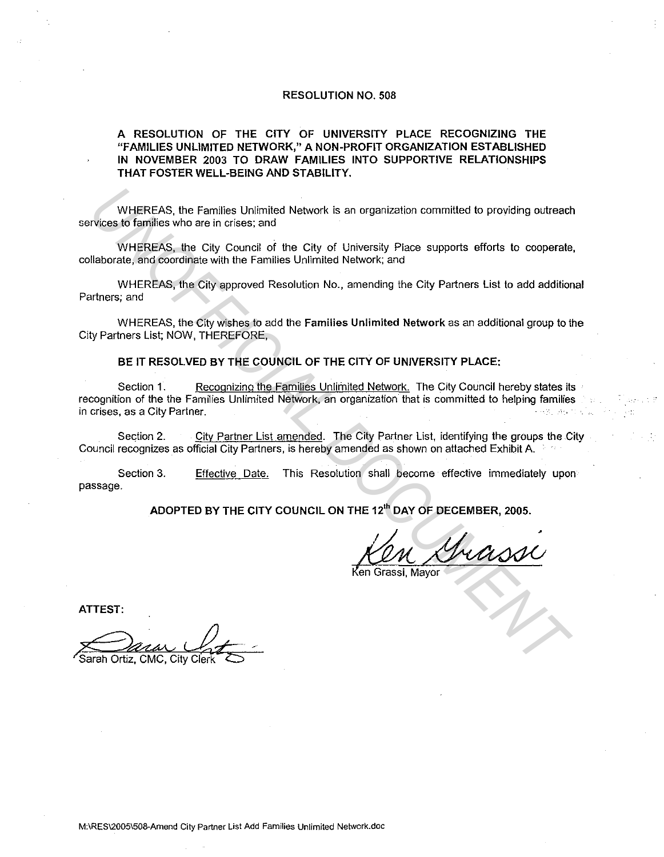## RESOLUTION NO. 508

## A RESOLUTION OF THE CITY OF UNIVERSITY PLACE RECOGNIZING THE "FAMILIES UNLIMITED NETWORK," A NON-PROFIT ORGANIZATION ESTABLISHED IN NOVEMBER 2003 TO DRAW FAMILIES INTO SUPPORTIVE RELATIONSHIPS THAT FOSTER WELL-BEING AND STABILITY.

WHEREAS, the Families Unlimited Network is an organization committed to providing outreach services to families who are in crises; and

WHEREAS, the City Council of the City of University Place supports efforts to cooperate, collaborate, and coordinate with the Families Unlimited Network; and

WHEREAS, the City approved Resolution No., amending the City Partners List to add additional Partners; and

WHEREAS, the City wishes to add the Families Unlimited Network as an additional group to the City Partners List; NOW, THEREFORE,

BE IT RESOLVED BY THE COUNCIL OF THE CITY OF UNIVERSITY PLACE:

Section 1. Recognizing the Families Unlimited Network. The City Council hereby states its recognition of the the Families Unlimited Network, an organization that is committed to helping families in crises, as a City Partner. · . WHEREAS, the Families Unimited Network is an organization committed to providing outreact<br>
WHEREAS, the City Council of the City of University Piace supports efforts to cooperate<br>
WHEREAS, the City Council of the City of U

Section 2. City Partner List amended. The City Partner List, identifying the groups the City Council recognizes as official City Partners, is hereby amended as shown on attached Exhibit A. First

Section 3. passage. Effective Date. This Resolution shall become effective immediately upon

ADOPTED BY THE CITY COUNCIL ON THE 12'" DAY OF DECEMBER, 2005.

HE 12<sup>th</sup> DAY OF DECEMBER, 2005.<br>KON She Constant

Ken Grassi, Mayor

ATTEST:

Sarah Ortiz, CMC, City Clerl